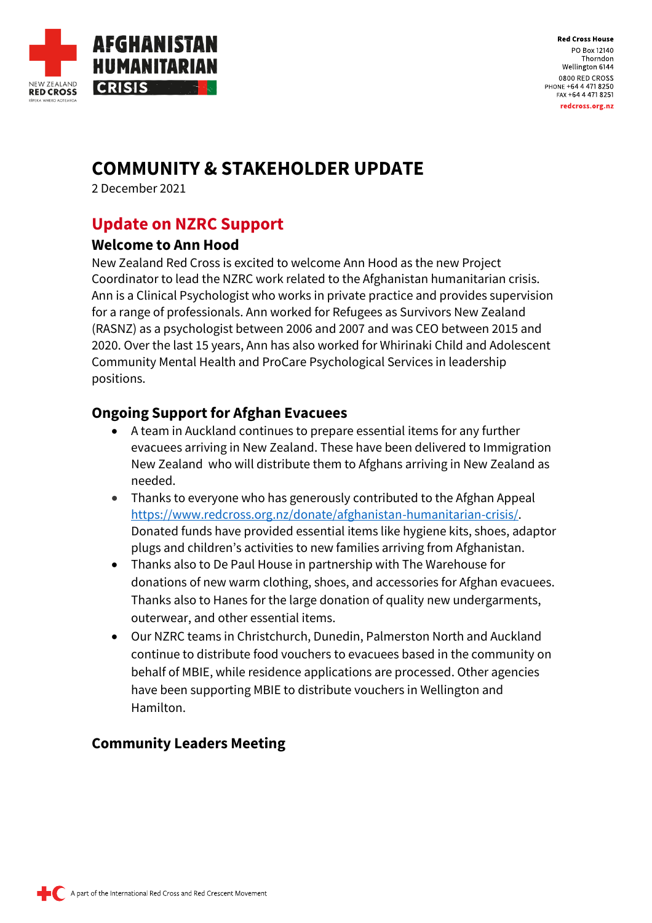

**Red Cross House** PO Box 12140 Thorndon Wellington 6144 0800 RED CROSS PHONE +64 4 471 8250 FAX +64 4 471 8251 redcross.org.nz

# **COMMUNITY & STAKEHOLDER UPDATE**

2 December 2021

## **Update on NZRC Support**

#### **Welcome to Ann Hood**

New Zealand Red Cross is excited to welcome Ann Hood as the new Project Coordinator to lead the NZRC work related to the Afghanistan humanitarian crisis. Ann is a Clinical Psychologist who works in private practice and provides supervision for a range of professionals. Ann worked for Refugees as Survivors New Zealand (RASNZ) as a psychologist between 2006 and 2007 and was CEO between 2015 and 2020. Over the last 15 years, Ann has also worked for Whirinaki Child and Adolescent Community Mental Health and ProCare Psychological Services in leadership positions.

#### **Ongoing Support for Afghan Evacuees**

- A team in Auckland continues to prepare essential items for any further evacuees arriving in New Zealand. These have been delivered to Immigration New Zealand who will distribute them to Afghans arriving in New Zealand as needed.
- Thanks to everyone who has generously contributed to the Afghan Appeal [https://www.redcross.org.nz/donate/afghanistan-humanitarian-crisis/.](https://www.redcross.org.nz/donate/afghanistan-humanitarian-crisis/) Donated funds have provided essential items like hygiene kits, shoes, adaptor plugs and children's activities to new families arriving from Afghanistan.
- Thanks also to De Paul House in partnership with The Warehouse for donations of new warm clothing, shoes, and accessories for Afghan evacuees. Thanks also to Hanes for the large donation of quality new undergarments, outerwear, and other essential items.
- Our NZRC teams in Christchurch, Dunedin, Palmerston North and Auckland continue to distribute food vouchers to evacuees based in the community on behalf of MBIE, while residence applications are processed. Other agencies have been supporting MBIE to distribute vouchers in Wellington and Hamilton.

### **Community Leaders Meeting**

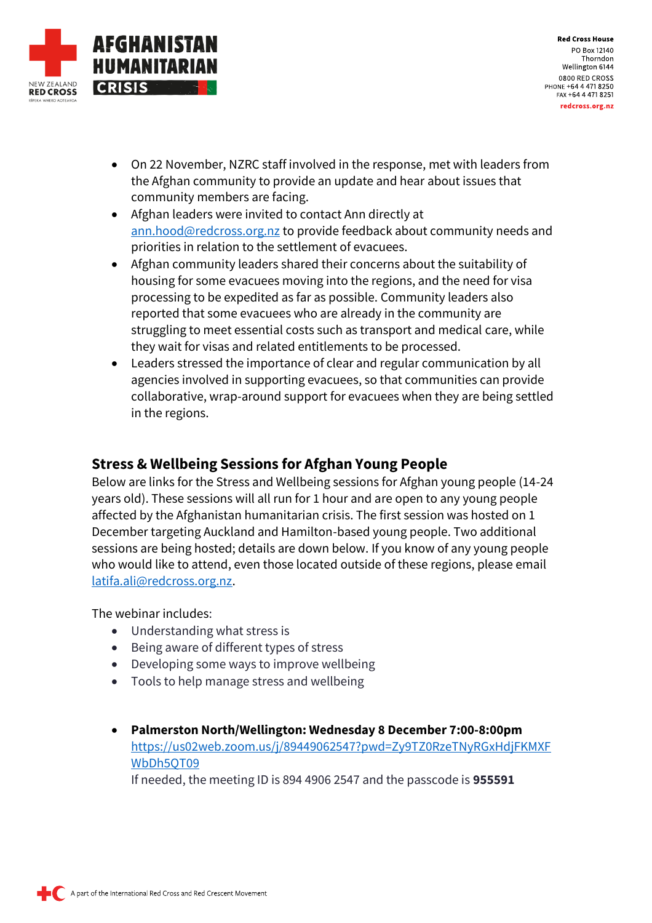

**Red Cross House** PO Box 12140 Thorndon Wellington 6144 0800 RED CROSS PHONE +64 4 471 8250 FAX +64 4 471 8251 redcross.org.nz

- On 22 November, NZRC staff involved in the response, met with leaders from the Afghan community to provide an update and hear about issues that community members are facing.
- Afghan leaders were invited to contact Ann directly at [ann.hood@redcross.org.nz](mailto:ann.hood@redcross.org.nz) to provide feedback about community needs and priorities in relation to the settlement of evacuees.
- Afghan community leaders shared their concerns about the suitability of housing for some evacuees moving into the regions, and the need for visa processing to be expedited as far as possible. Community leaders also reported that some evacuees who are already in the community are struggling to meet essential costs such as transport and medical care, while they wait for visas and related entitlements to be processed.
- Leaders stressed the importance of clear and regular communication by all agencies involved in supporting evacuees, so that communities can provide collaborative, wrap-around support for evacuees when they are being settled in the regions.

#### **Stress & Wellbeing Sessions for Afghan Young People**

Below are links for the Stress and Wellbeing sessions for Afghan young people (14-24 years old). These sessions will all run for 1 hour and are open to any young people affected by the Afghanistan humanitarian crisis. The first session was hosted on 1 December targeting Auckland and Hamilton-based young people. Two additional sessions are being hosted; details are down below. If you know of any young people who would like to attend, even those located outside of these regions, please email [latifa.ali@redcross.org.nz.](mailto:latifa.ali@redcross.org.nz)

The webinar includes:

- Understanding what stress is
- Being aware of different types of stress
- Developing some ways to improve wellbeing
- Tools to help manage stress and wellbeing
- **Palmerston North/Wellington: Wednesday 8 December 7:00-8:00pm** [https://us02web.zoom.us/j/89449062547?pwd=Zy9TZ0RzeTNyRGxHdjFKMXF](https://us02web.zoom.us/j/89449062547?pwd=Zy9TZ0RzeTNyRGxHdjFKMXFWbDh5QT09) [WbDh5QT09](https://us02web.zoom.us/j/89449062547?pwd=Zy9TZ0RzeTNyRGxHdjFKMXFWbDh5QT09) If needed, the meeting ID is 894 4906 2547 and the passcode is **955591**

A part of the International Red Cross and Red Crescent Movement